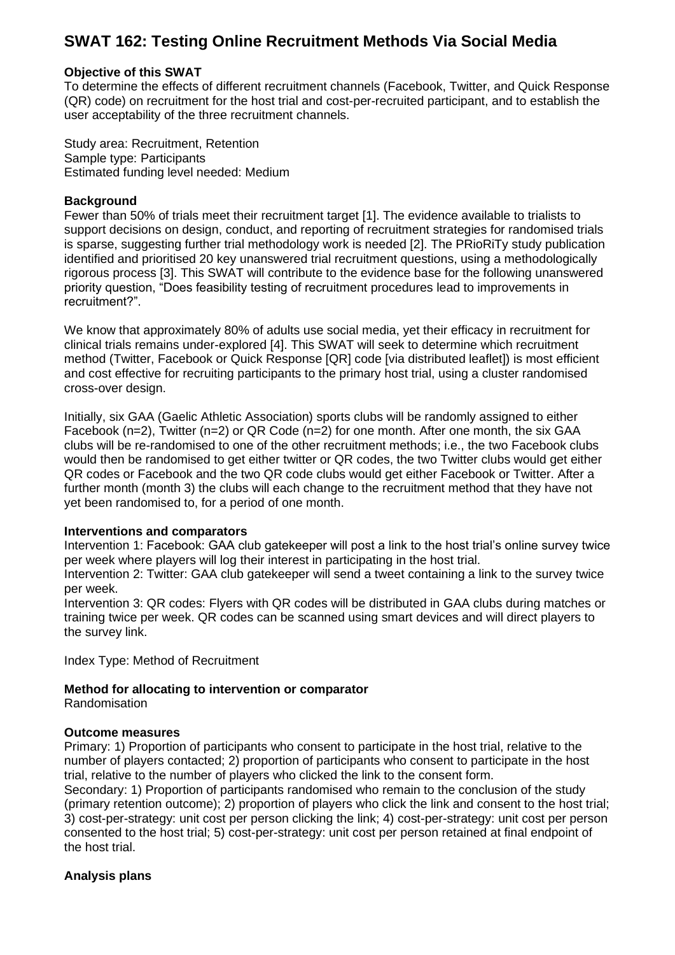# **SWAT 162: Testing Online Recruitment Methods Via Social Media**

#### **Objective of this SWAT**

To determine the effects of different recruitment channels (Facebook, Twitter, and Quick Response (QR) code) on recruitment for the host trial and cost-per-recruited participant, and to establish the user acceptability of the three recruitment channels.

Study area: Recruitment, Retention Sample type: Participants Estimated funding level needed: Medium

#### **Background**

Fewer than 50% of trials meet their recruitment target [1]. The evidence available to trialists to support decisions on design, conduct, and reporting of recruitment strategies for randomised trials is sparse, suggesting further trial methodology work is needed [2]. The PRioRiTy study publication identified and prioritised 20 key unanswered trial recruitment questions, using a methodologically rigorous process [3]. This SWAT will contribute to the evidence base for the following unanswered priority question, "Does feasibility testing of recruitment procedures lead to improvements in recruitment?".

We know that approximately 80% of adults use social media, yet their efficacy in recruitment for clinical trials remains under-explored [4]. This SWAT will seek to determine which recruitment method (Twitter, Facebook or Quick Response [QR] code [via distributed leaflet]) is most efficient and cost effective for recruiting participants to the primary host trial, using a cluster randomised cross-over design.

Initially, six GAA (Gaelic Athletic Association) sports clubs will be randomly assigned to either Facebook (n=2), Twitter (n=2) or QR Code (n=2) for one month. After one month, the six GAA clubs will be re-randomised to one of the other recruitment methods; i.e., the two Facebook clubs would then be randomised to get either twitter or QR codes, the two Twitter clubs would get either QR codes or Facebook and the two QR code clubs would get either Facebook or Twitter. After a further month (month 3) the clubs will each change to the recruitment method that they have not yet been randomised to, for a period of one month.

#### **Interventions and comparators**

Intervention 1: Facebook: GAA club gatekeeper will post a link to the host trial's online survey twice per week where players will log their interest in participating in the host trial.

Intervention 2: Twitter: GAA club gatekeeper will send a tweet containing a link to the survey twice per week.

Intervention 3: QR codes: Flyers with QR codes will be distributed in GAA clubs during matches or training twice per week. QR codes can be scanned using smart devices and will direct players to the survey link.

Index Type: Method of Recruitment

#### **Method for allocating to intervention or comparator**

Randomisation

#### **Outcome measures**

Primary: 1) Proportion of participants who consent to participate in the host trial, relative to the number of players contacted; 2) proportion of participants who consent to participate in the host trial, relative to the number of players who clicked the link to the consent form.

Secondary: 1) Proportion of participants randomised who remain to the conclusion of the study (primary retention outcome); 2) proportion of players who click the link and consent to the host trial; 3) cost-per-strategy: unit cost per person clicking the link; 4) cost-per-strategy: unit cost per person consented to the host trial; 5) cost-per-strategy: unit cost per person retained at final endpoint of the host trial.

#### **Analysis plans**